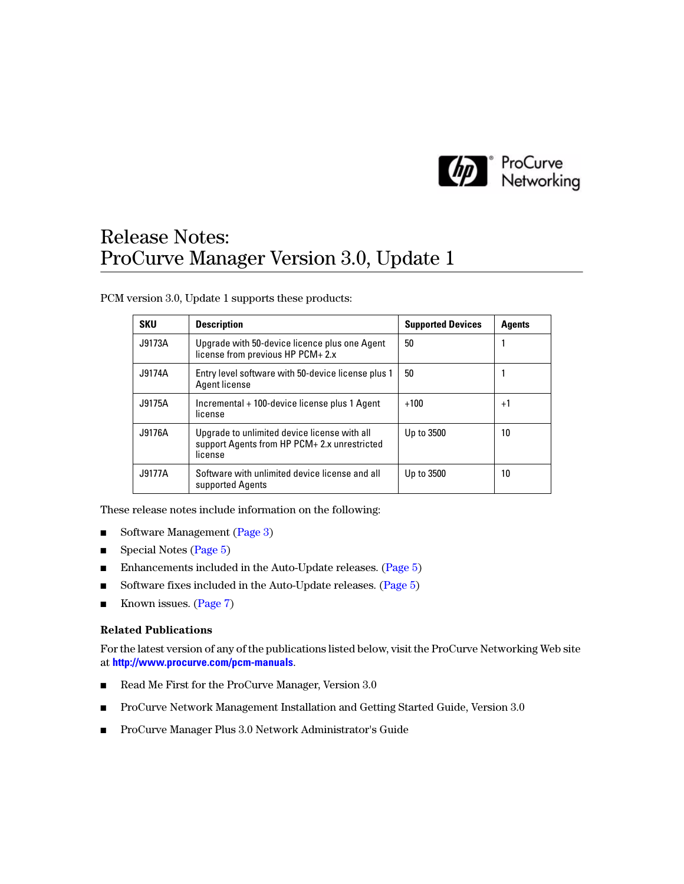

# Release Notes: ProCurve Manager Version 3.0, Update 1

PCM version 3.0, Update 1 supports these products:

| <b>SKU</b> | <b>Description</b>                                                                                      | <b>Supported Devices</b> | <b>Agents</b> |
|------------|---------------------------------------------------------------------------------------------------------|--------------------------|---------------|
| J9173A     | Upgrade with 50-device licence plus one Agent<br>license from previous HP PCM+2.x                       | 50                       |               |
| J9174A     | Entry level software with 50-device license plus 1<br>Agent license                                     | 50                       |               |
| J9175A     | Incremental + 100-device license plus 1 Agent<br>license                                                | $+100$                   | $+1$          |
| J9176A     | Upgrade to unlimited device license with all<br>support Agents from HP PCM+ 2.x unrestricted<br>license | Up to 3500               | 10            |
| J9177A     | Software with unlimited device license and all<br>supported Agents                                      | Up to 3500               | 10            |

These release notes include information on the following:

- Software Management [\(Page 3\)](#page-2-0)
- Special Notes [\(Page 5\)](#page-4-2)
- Enhancements included in the Auto-Update releases. [\(Page 5](#page-4-0))
- Software fixes included in the Auto-Update releases. ([Page 5](#page-4-1))
- Known issues. [\(Page 7\)](#page-6-0)

### **Related Publications**

For the latest version of any of the publications listed below, visit the ProCurve Networking Web site at **<http://www.procurve.com/pcm-manuals>**.

- Read Me First for the ProCurve Manager, Version 3.0
- ProCurve Network Management Installation and Getting Started Guide, Version 3.0
- ProCurve Manager Plus 3.0 Network Administrator's Guide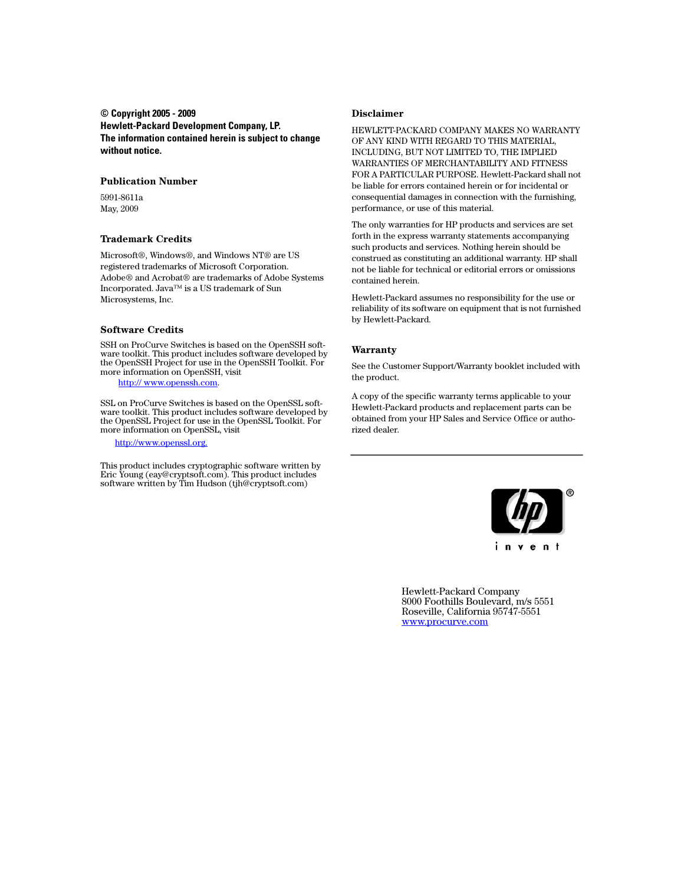#### **© Copyright 2005 - 2009 Hewlett-Packard Development Company, LP. The information contained herein is subject to change without notice.**

#### **Publication Number**

5991-8611a May, 2009

#### **Trademark Credits**

Microsoft®, Windows®, and Windows NT® are US registered trademarks of Microsoft Corporation. Adobe® and Acrobat® are trademarks of Adobe Systems Incorporated. Java™ is a US trademark of Sun Microsystems, Inc.

### **Software Credits**

SSH on ProCurve Switches is based on the OpenSSH software toolkit. This product includes software developed by the OpenSSH Project for use in the OpenSSH Toolkit. For more information on OpenSSH, visit

#### [http:// www.openssh.com.](http://www.openssh.com)

SSL on ProCurve Switches is based on the OpenSSL software toolkit. This product includes software developed by the OpenSSL Project for use in the OpenSSL Toolkit. For more information on OpenSSL, visit

[http://www.openssl.org.](http://www.openssl.org)

This product includes cryptographic software written by Eric Young (eay@cryptsoft.com). This product includes software written by Tim Hudson (tjh@cryptsoft.com)

#### **Disclaimer**

HEWLETT-PACKARD COMPANY MAKES NO WARRANTY OF ANY KIND WITH REGARD TO THIS MATERIAL, INCLUDING, BUT NOT LIMITED TO, THE IMPLIED WARRANTIES OF MERCHANTABILITY AND FITNESS FOR A PARTICULAR PURPOSE. Hewlett-Packard shall not be liable for errors contained herein or for incidental or consequential damages in connection with the furnishing, performance, or use of this material.

The only warranties for HP products and services are set forth in the express warranty statements accompanying such products and services. Nothing herein should be construed as constituting an additional warranty. HP shall not be liable for technical or editorial errors or omissions contained herein.

Hewlett-Packard assumes no responsibility for the use or reliability of its software on equipment that is not furnished by Hewlett-Packard.

#### **Warranty**

See the Customer Support/Warranty booklet included with the product.

A copy of the specific warranty terms applicable to your Hewlett-Packard products and replacement parts can be obtained from your HP Sales and Service Office or authorized dealer.



Hewlett-Packard Company 8000 Foothills Boulevard, m/s 5551 Roseville, California 95747-5551 [www.procurve.com](http://www.procurve.com)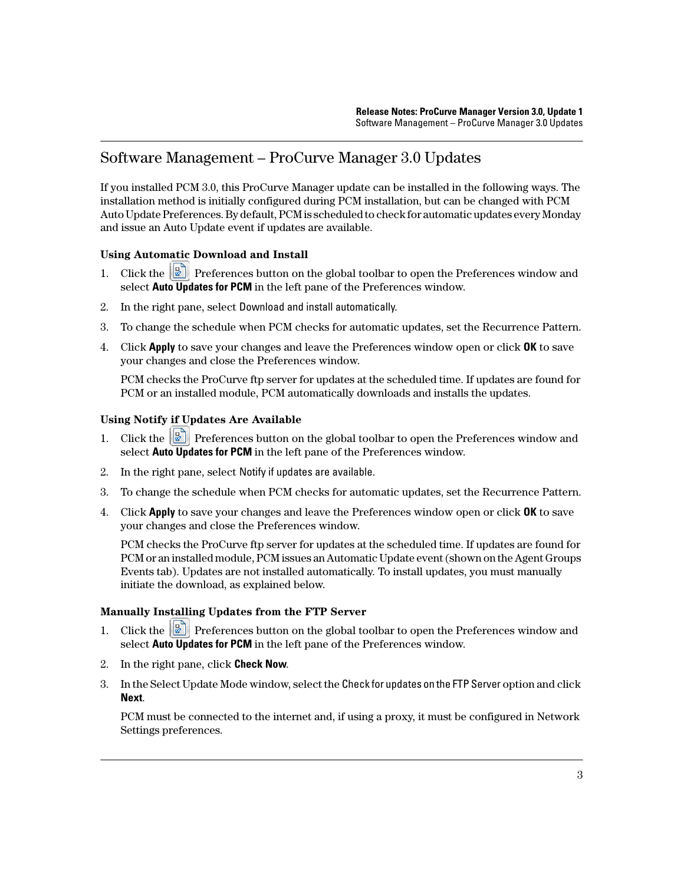## <span id="page-2-0"></span>Software Management – ProCurve Manager 3.0 Updates

If you installed PCM 3.0, this ProCurve Manager update can be installed in the following ways. The installation method is initially configured during PCM installation, but can be changed with PCM Auto Update Preferences. By default, PCM is scheduled to check for automatic updates every Monday and issue an Auto Update event if updates are available.

## **Using Automatic Download and Install**

- 1. Click the **P** Preferences button on the global toolbar to open the Preferences window and select **Auto Updates for PCM** in the left pane of the Preferences window.
- 2. In the right pane, select Download and install automatically.
- 3. To change the schedule when PCM checks for automatic updates, set the Recurrence Pattern.
- 4. Click **Apply** to save your changes and leave the Preferences window open or click **OK** to save your changes and close the Preferences window.

PCM checks the ProCurve ftp server for updates at the scheduled time. If updates are found for PCM or an installed module, PCM automatically downloads and installs the updates.

## **Using Notify if Updates Are Available**

- 1. Click the  $\boxed{2}$  Preferences button on the global toolbar to open the Preferences window and select **Auto Updates for PCM** in the left pane of the Preferences window.
- 2. In the right pane, select Notify if updates are available.
- 3. To change the schedule when PCM checks for automatic updates, set the Recurrence Pattern.
- 4. Click **Apply** to save your changes and leave the Preferences window open or click **OK** to save your changes and close the Preferences window.

PCM checks the ProCurve ftp server for updates at the scheduled time. If updates are found for PCM or an installed module, PCM issues an Automatic Update event (shown on the Agent Groups Events tab). Updates are not installed automatically. To install updates, you must manually initiate the download, as explained below.

### **Manually Installing Updates from the FTP Server**

- 1. Click the **P** Preferences button on the global toolbar to open the Preferences window and select **Auto Updates for PCM** in the left pane of the Preferences window.
- 2. In the right pane, click **Check Now**.
- 3. In the Select Update Mode window, select the Check for updates on the FTP Server option and click **Next**.

PCM must be connected to the internet and, if using a proxy, it must be configured in Network Settings preferences.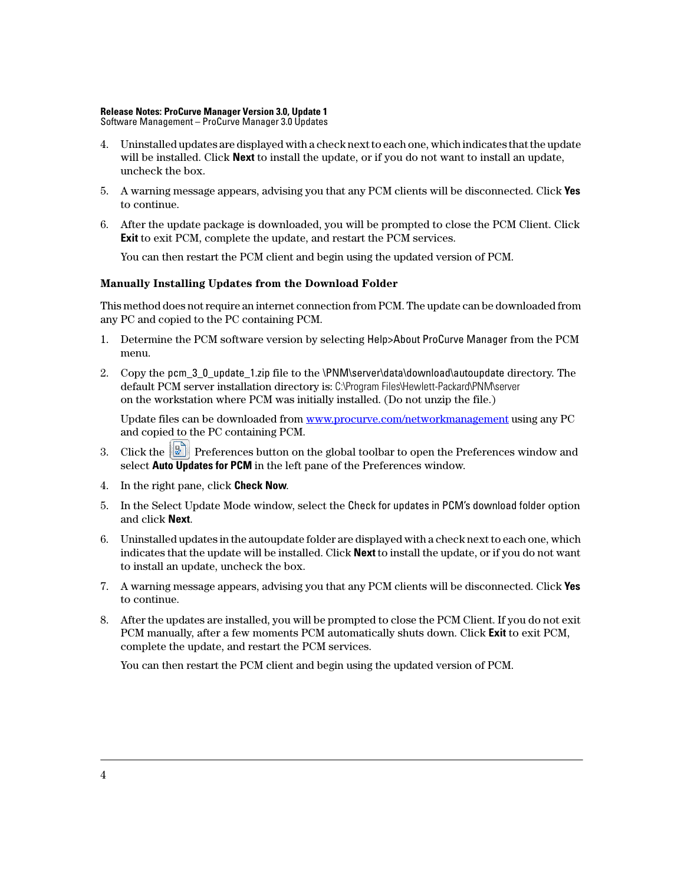### **Release Notes: ProCurve Manager Version 3.0, Update 1**

Software Management – ProCurve Manager 3.0 Updates

- 4. Uninstalled updates are displayed with a check next to each one, which indicates that the update will be installed. Click **Next** to install the update, or if you do not want to install an update, uncheck the box.
- 5. A warning message appears, advising you that any PCM clients will be disconnected. Click **Yes** to continue.
- 6. After the update package is downloaded, you will be prompted to close the PCM Client. Click **Exit** to exit PCM, complete the update, and restart the PCM services.

You can then restart the PCM client and begin using the updated version of PCM.

### **Manually Installing Updates from the Download Folder**

This method does not require an internet connection from PCM. The update can be downloaded from any PC and copied to the PC containing PCM.

- 1. Determine the PCM software version by selecting Help>About ProCurve Manager from the PCM menu.
- 2. Copy the pcm 3–0 update 1.zip file to the \PNM\server\data\download\autoupdate directory. The default PCM server installation directory is: C:\Program Files\Hewlett-Packard\PNM\server on the workstation where PCM was initially installed. (Do not unzip the file.)

[Update files can be downloaded from](www.procurve.com/networkmanagement) www.procurve.com/networkmanagement using any PC and copied to the PC containing PCM.

- 3. Click the  $\boxed{2}$  Preferences button on the global toolbar to open the Preferences window and select **Auto Updates for PCM** in the left pane of the Preferences window.
- 4. In the right pane, click **Check Now**.
- 5. In the Select Update Mode window, select the Check for updates in PCM's download folder option and click **Next**.
- 6. Uninstalled updates in the autoupdate folder are displayed with a check next to each one, which indicates that the update will be installed. Click **Next** to install the update, or if you do not want to install an update, uncheck the box.
- 7. A warning message appears, advising you that any PCM clients will be disconnected. Click **Yes** to continue.
- 8. After the updates are installed, you will be prompted to close the PCM Client. If you do not exit PCM manually, after a few moments PCM automatically shuts down. Click **Exit** to exit PCM, complete the update, and restart the PCM services.

You can then restart the PCM client and begin using the updated version of PCM.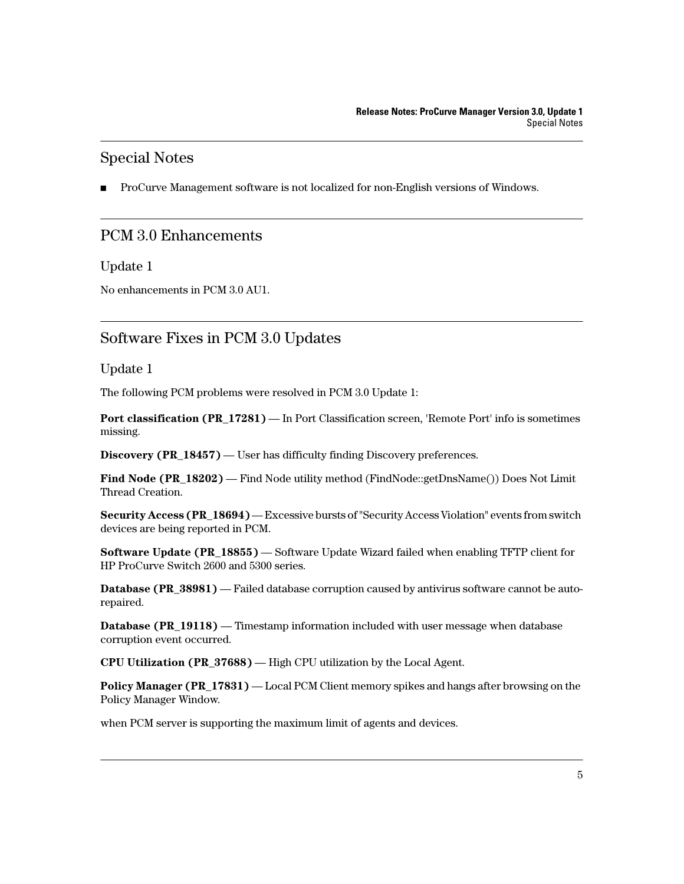## <span id="page-4-2"></span>Special Notes

ProCurve Management software is not localized for non-English versions of Windows.

## <span id="page-4-0"></span>PCM 3.0 Enhancements

## Update 1

No enhancements in PCM 3.0 AU1.

## <span id="page-4-1"></span>Software Fixes in PCM 3.0 Updates

Update 1

The following PCM problems were resolved in PCM 3.0 Update 1:

**Port classification (PR\_17281)** — In Port Classification screen, 'Remote Port' info is sometimes missing.

**Discovery (PR\_18457)** — User has difficulty finding Discovery preferences.

**Find Node (PR\_18202)** — Find Node utility method (FindNode::getDnsName()) Does Not Limit Thread Creation.

**Security Access (PR\_18694)** — Excessive bursts of "Security Access Violation" events from switch devices are being reported in PCM.

**Software Update (PR\_18855)** — Software Update Wizard failed when enabling TFTP client for HP ProCurve Switch 2600 and 5300 series.

**Database (PR\_38981) — Failed database corruption caused by antivirus software cannot be auto**repaired.

**Database (PR 19118) — Timestamp information included with user message when database** corruption event occurred.

**CPU Utilization (PR\_37688)** — High CPU utilization by the Local Agent.

**Policy Manager (PR\_17831)** — Local PCM Client memory spikes and hangs after browsing on the Policy Manager Window.

when PCM server is supporting the maximum limit of agents and devices.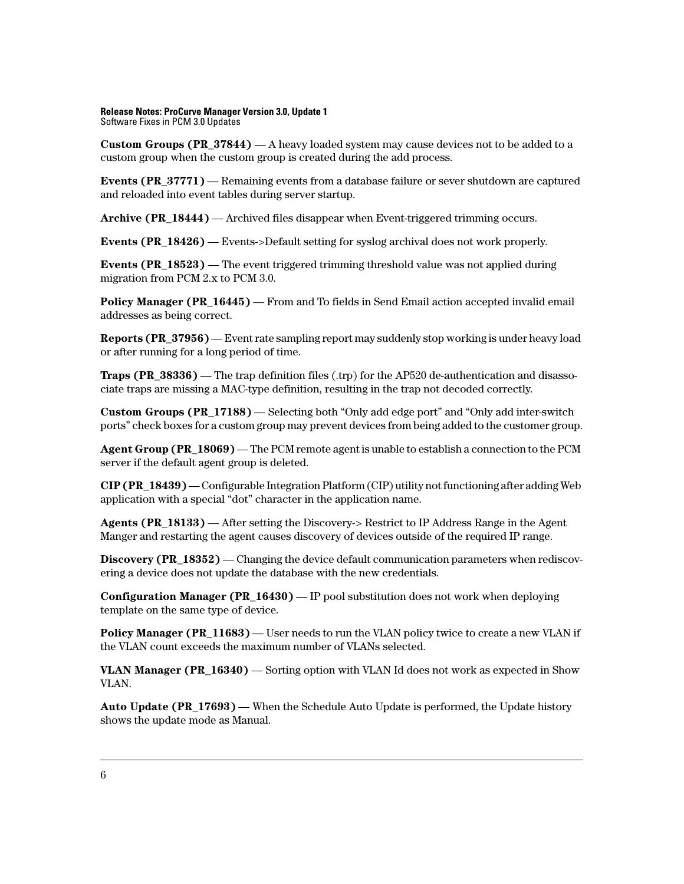#### **Release Notes: ProCurve Manager Version 3.0, Update 1** Software Fixes in PCM 3.0 Updates

**Custom Groups (PR\_37844)** — A heavy loaded system may cause devices not to be added to a custom group when the custom group is created during the add process.

**Events (PR 37771)** — Remaining events from a database failure or sever shutdown are captured and reloaded into event tables during server startup.

**Archive (PR\_18444)** — Archived files disappear when Event-triggered trimming occurs.

**Events (PR\_18426)** — Events->Default setting for syslog archival does not work properly.

**Events (PR 18523) — The event triggered trimming threshold value was not applied during** migration from PCM 2.x to PCM 3.0.

**Policy Manager (PR 16445)** — From and To fields in Send Email action accepted invalid email addresses as being correct.

**Reports (PR 37956)** — Event rate sampling report may suddenly stop working is under heavy load or after running for a long period of time.

**Traps (PR\_38336)** — The trap definition files (.trp) for the AP520 de-authentication and disassociate traps are missing a MAC-type definition, resulting in the trap not decoded correctly.

**Custom Groups (PR\_17188)** — Selecting both "Only add edge port" and "Only add inter-switch ports" check boxes for a custom group may prevent devices from being added to the customer group.

**Agent Group (PR\_18069)** — The PCM remote agent is unable to establish a connection to the PCM server if the default agent group is deleted.

**CIP (PR\_18439)** — Configurable Integration Platform (CIP) utility not functioning after adding Web application with a special "dot" character in the application name.

**Agents (PR\_18133)** — After setting the Discovery-> Restrict to IP Address Range in the Agent Manger and restarting the agent causes discovery of devices outside of the required IP range.

**Discovery (PR\_18352)** — Changing the device default communication parameters when rediscovering a device does not update the database with the new credentials.

**Configuration Manager (PR\_16430)** — IP pool substitution does not work when deploying template on the same type of device.

**Policy Manager (PR\_11683)** — User needs to run the VLAN policy twice to create a new VLAN if the VLAN count exceeds the maximum number of VLANs selected.

**VLAN Manager (PR\_16340)** — Sorting option with VLAN Id does not work as expected in Show VLAN.

**Auto Update (PR\_17693)** — When the Schedule Auto Update is performed, the Update history shows the update mode as Manual.